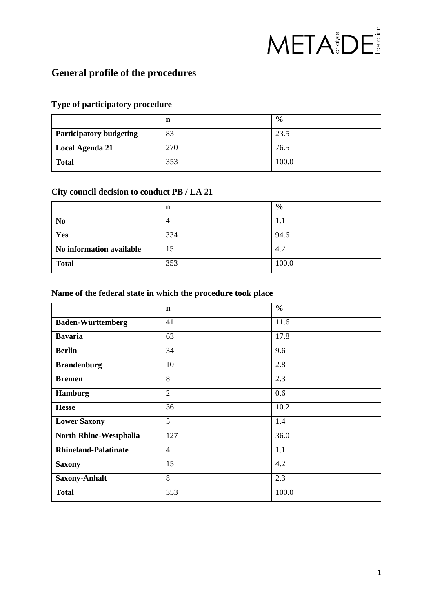# META BDE

# **General profile of the procedures**

#### **Type of participatory procedure**

|                                | n   | $\frac{6}{9}$ |
|--------------------------------|-----|---------------|
| <b>Participatory budgeting</b> | 83  | 23.5          |
| <b>Local Agenda 21</b>         | 270 | 76.5          |
| <b>Total</b>                   | 353 | 100.0         |

## **City council decision to conduct PB / LA 21**

|                          | n   | $\frac{0}{0}$ |
|--------------------------|-----|---------------|
| N <sub>0</sub>           |     | 1.1           |
| Yes                      | 334 | 94.6          |
| No information available | 15  | 4.2           |
| <b>Total</b>             | 353 | 100.0         |

#### **Name of the federal state in which the procedure took place**

|                             | $\mathbf n$    | $\frac{0}{0}$ |
|-----------------------------|----------------|---------------|
| <b>Baden-Württemberg</b>    | 41             | 11.6          |
| <b>Bavaria</b>              | 63             | 17.8          |
| <b>Berlin</b>               | 34             | 9.6           |
| <b>Brandenburg</b>          | 10             | 2.8           |
| <b>Bremen</b>               | 8              | 2.3           |
| <b>Hamburg</b>              | $\overline{2}$ | 0.6           |
| <b>Hesse</b>                | 36             | 10.2          |
| <b>Lower Saxony</b>         | 5              | 1.4           |
| North Rhine-Westphalia      | 127            | 36.0          |
| <b>Rhineland-Palatinate</b> | $\overline{4}$ | 1.1           |
| <b>Saxony</b>               | 15             | 4.2           |
| <b>Saxony-Anhalt</b>        | 8              | 2.3           |
| <b>Total</b>                | 353            | 100.0         |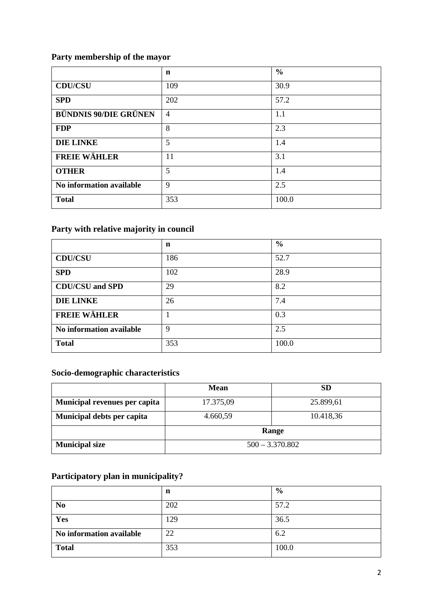## **Party membership of the mayor**

|                              | $\mathbf n$    | $\frac{6}{6}$ |
|------------------------------|----------------|---------------|
| <b>CDU/CSU</b>               | 109            | 30.9          |
| <b>SPD</b>                   | 202            | 57.2          |
| <b>BÜNDNIS 90/DIE GRÜNEN</b> | $\overline{4}$ | 1.1           |
| <b>FDP</b>                   | 8              | 2.3           |
| <b>DIE LINKE</b>             | 5              | 1.4           |
| <b>FREIE WÄHLER</b>          | 11             | 3.1           |
| <b>OTHER</b>                 | 5              | 1.4           |
| No information available     | 9              | 2.5           |
| <b>Total</b>                 | 353            | 100.0         |

## **Party with relative majority in council**

|                          | n   | $\frac{0}{0}$ |
|--------------------------|-----|---------------|
| <b>CDU/CSU</b>           | 186 | 52.7          |
| <b>SPD</b>               | 102 | 28.9          |
| <b>CDU/CSU</b> and SPD   | 29  | 8.2           |
| <b>DIE LINKE</b>         | 26  | 7.4           |
| <b>FREIE WÄHLER</b>      |     | 0.3           |
| No information available | 9   | 2.5           |
| <b>Total</b>             | 353 | 100.0         |

## **Socio-demographic characteristics**

|                               | <b>Mean</b>       | <b>SD</b> |
|-------------------------------|-------------------|-----------|
| Municipal revenues per capita | 17.375,09         | 25.899,61 |
| Municipal debts per capita    | 4.660,59          | 10.418,36 |
|                               | Range             |           |
| <b>Municipal size</b>         | $500 - 3.370.802$ |           |

# **Participatory plan in municipality?**

|                          | n   | $\frac{0}{0}$ |
|--------------------------|-----|---------------|
| N <sub>0</sub>           | 202 | 57.2          |
| Yes                      | 29  | 36.5          |
| No information available | 22  | 6.2           |
| <b>Total</b>             | 353 | 100.0         |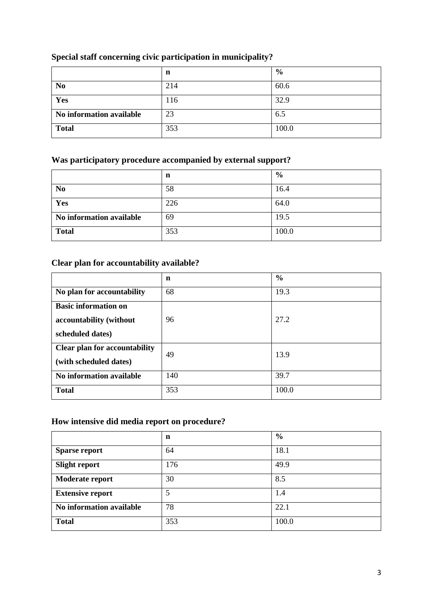## **Special staff concerning civic participation in municipality?**

|                          | n   | $\frac{6}{9}$ |
|--------------------------|-----|---------------|
| N <sub>0</sub>           | 214 | 60.6          |
| Yes                      | 116 | 32.9          |
| No information available | 23  | 6.5           |
| <b>Total</b>             | 353 | 100.0         |

#### **Was participatory procedure accompanied by external support?**

|                          | n   | $\frac{6}{9}$ |
|--------------------------|-----|---------------|
| N <sub>0</sub>           | 58  | 16.4          |
| Yes                      | 226 | 64.0          |
| No information available | 69  | 19.5          |
| <b>Total</b>             | 353 | 100.0         |

#### **Clear plan for accountability available?**

|                                      | n   | $\frac{6}{6}$ |
|--------------------------------------|-----|---------------|
| No plan for accountability           | 68  | 19.3          |
| <b>Basic information on</b>          |     |               |
| accountability (without              | 96  | 27.2          |
| scheduled dates)                     |     |               |
| <b>Clear plan for accountability</b> | 49  | 13.9          |
| (with scheduled dates)               |     |               |
| No information available             | 140 | 39.7          |
| <b>Total</b>                         | 353 | 100.0         |

#### **How intensive did media report on procedure?**

|                          | n   | $\frac{0}{0}$ |
|--------------------------|-----|---------------|
| <b>Sparse report</b>     | 64  | 18.1          |
| <b>Slight report</b>     | 176 | 49.9          |
| Moderate report          | 30  | 8.5           |
| <b>Extensive report</b>  | 5   | 1.4           |
| No information available | 78  | 22.1          |
| <b>Total</b>             | 353 | 100.0         |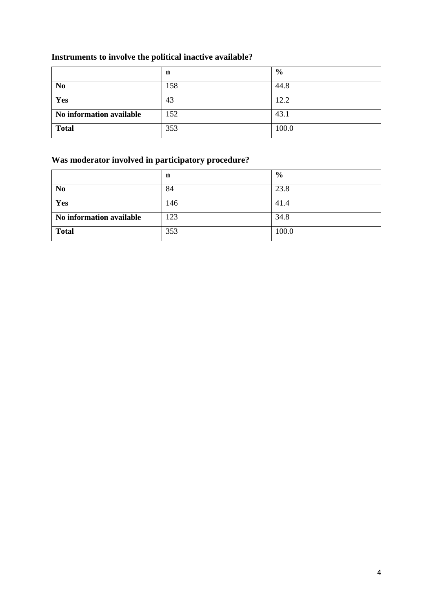# **Instruments to involve the political inactive available?**

|                          | n   | $\frac{6}{9}$ |
|--------------------------|-----|---------------|
| N <sub>0</sub>           | 158 | 44.8          |
| Yes                      | 43  | 12.2          |
| No information available | 152 | 43.1          |
| <b>Total</b>             | 353 | 100.0         |

# **Was moderator involved in participatory procedure?**

|                          | n   | $\frac{6}{9}$ |
|--------------------------|-----|---------------|
| N <sub>0</sub>           | 84  | 23.8          |
| Yes                      | 146 | 41.4          |
| No information available | 123 | 34.8          |
| <b>Total</b>             | 353 | 100.0         |